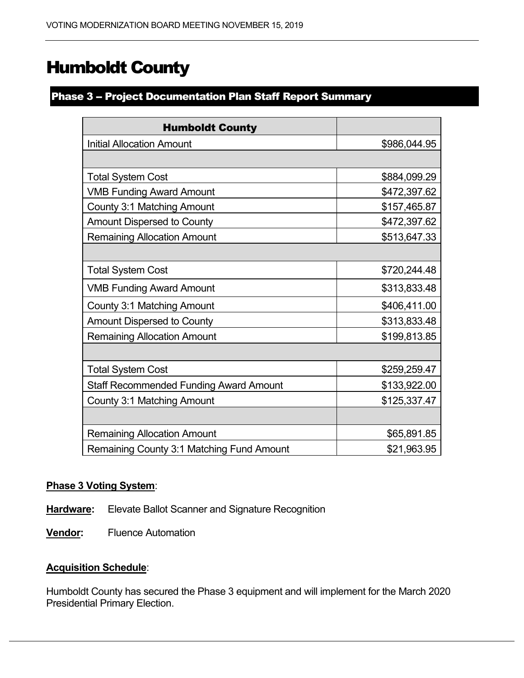# Humboldt County

## Phase 3 - Project Documentation Plan Staff Report Summary

| <b>Humboldt County</b>                        |              |
|-----------------------------------------------|--------------|
| <b>Initial Allocation Amount</b>              | \$986,044.95 |
|                                               |              |
| <b>Total System Cost</b>                      | \$884,099.29 |
| <b>VMB Funding Award Amount</b>               | \$472,397.62 |
| County 3:1 Matching Amount                    | \$157,465.87 |
| <b>Amount Dispersed to County</b>             | \$472,397.62 |
| <b>Remaining Allocation Amount</b>            | \$513,647.33 |
|                                               |              |
| <b>Total System Cost</b>                      | \$720,244.48 |
| <b>VMB Funding Award Amount</b>               | \$313,833.48 |
| <b>County 3:1 Matching Amount</b>             | \$406,411.00 |
| <b>Amount Dispersed to County</b>             | \$313,833.48 |
| <b>Remaining Allocation Amount</b>            | \$199,813.85 |
|                                               |              |
| <b>Total System Cost</b>                      | \$259,259.47 |
| <b>Staff Recommended Funding Award Amount</b> | \$133,922.00 |
| County 3:1 Matching Amount                    | \$125,337.47 |
|                                               |              |
| <b>Remaining Allocation Amount</b>            | \$65,891.85  |
| Remaining County 3:1 Matching Fund Amount     | \$21,963.95  |

### **Phase 3 Voting System**:

- **Hardware:** Elevate Ballot Scanner and Signature Recognition
- **Vendor:** Fluence Automation

### **Acquisition Schedule**:

Humboldt County has secured the Phase 3 equipment and will implement for the March 2020 Presidential Primary Election.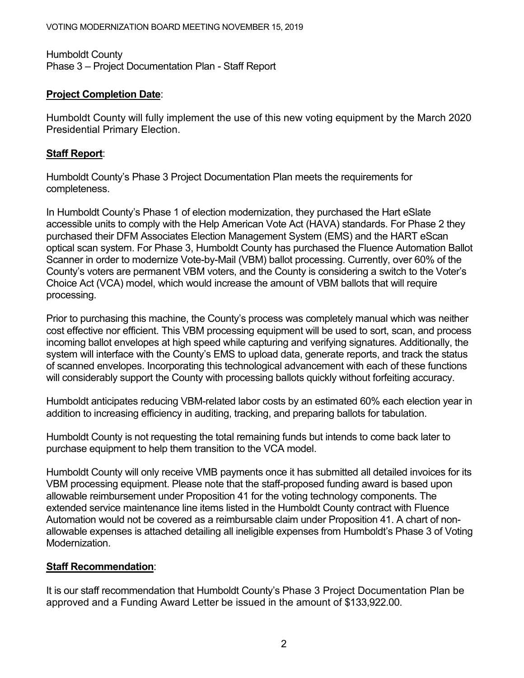Humboldt County Phase 3 – Project Documentation Plan - Staff Report

## **Project Completion Date**:

Humboldt County will fully implement the use of this new voting equipment by the March 2020 Presidential Primary Election.

## **Staff Report**:

Humboldt County's Phase 3 Project Documentation Plan meets the requirements for completeness.

In Humboldt County's Phase 1 of election modernization, they purchased the Hart eSlate accessible units to comply with the Help American Vote Act (HAVA) standards. For Phase 2 they purchased their DFM Associates Election Management System (EMS) and the HART eScan optical scan system. For Phase 3, Humboldt County has purchased the Fluence Automation Ballot Scanner in order to modernize Vote-by-Mail (VBM) ballot processing. Currently, over 60% of the County's voters are permanent VBM voters, and the County is considering a switch to the Voter's Choice Act (VCA) model, which would increase the amount of VBM ballots that will require processing.

Prior to purchasing this machine, the County's process was completely manual which was neither cost effective nor efficient. This VBM processing equipment will be used to sort, scan, and process incoming ballot envelopes at high speed while capturing and verifying signatures. Additionally, the system will interface with the County's EMS to upload data, generate reports, and track the status of scanned envelopes. Incorporating this technological advancement with each of these functions will considerably support the County with processing ballots quickly without forfeiting accuracy.

Humboldt anticipates reducing VBM-related labor costs by an estimated 60% each election year in addition to increasing efficiency in auditing, tracking, and preparing ballots for tabulation.

Humboldt County is not requesting the total remaining funds but intends to come back later to purchase equipment to help them transition to the VCA model.

Humboldt County will only receive VMB payments once it has submitted all detailed invoices for its VBM processing equipment. Please note that the staff-proposed funding award is based upon allowable reimbursement under Proposition 41 for the voting technology components. The extended service maintenance line items listed in the Humboldt County contract with Fluence Automation would not be covered as a reimbursable claim under Proposition 41. A chart of nonallowable expenses is attached detailing all ineligible expenses from Humboldt's Phase 3 of Voting Modernization.

## **Staff Recommendation**:

It is our staff recommendation that Humboldt County's Phase 3 Project Documentation Plan be approved and a Funding Award Letter be issued in the amount of \$133,922.00.